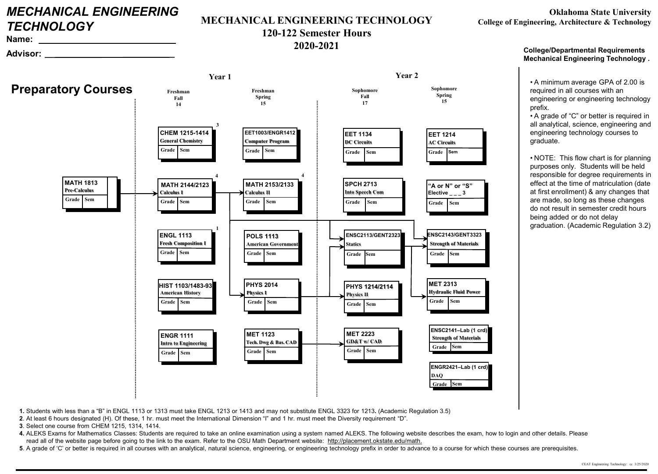# *MECHANICAL ENGINEERING TECHNOLOGY*

**Name: Advisor:**

### **MECHANICAL ENGINEERING TECHNOLOGY**

# **120-122 Semester Hours**

**2020-2021**

**College/Departmental Requirements Mechanical Engineering Technology .**

• A minimum average GPA of 2.00 is required in all courses with an engineering or engineering technology prefix.

• A grade of "C" or better is required in all analytical, science, engineering and engineering technology courses to graduate.

• NOTE: This flow chart is for planning purposes only. Students will be held responsible for degree requirements in effect at the time of matriculation (date at first enrollment) & any changes that are made, so long as these changes do not result in semester credit hours being added or do not delay graduation. (Academic Regulation 3.2)

**Sem MATH 2153/2133 Calculus II Sem Grade MATH 2144/2123 Calculus I Grade 1 Preparatory Courses Year 1 Year 2 Freshman Fall 14 Freshman Spring 15 Sophomore Fall 17 Sophomore Spring 15 Sem Sem Grade MET 2223 GD&T w/ CAD MET 1123 Tech. Dwg & Bas. CAD Grade Sem HIST 1103/1483-93 American History Grade Sem Grade PHYS 1214/2114 Physics II Sem Grade POLS 1113 American Government Sem Grade PHYS 2014 Physics I Sem ENGL 1113 Fresh Composition I Grade Sem Grade CHEM 1215-1414 General Chemistry 3 Sem MET 2313 Hydraulic Fluid Power Grade 4 4 Sem ENGR 1111 Intro to Engineering Grade ENSC2113/GENT2323 Statics Grade Sem ENSC2143/GENT3323 Strength of Materials Grade Sem EET1003/ENGR1412 Computer Program Grade Sem** Grade Sem **MATH 1813 Pre-Calculus Grade Sem SPCH 2713 Into Speech Com Grade Sem EET 1134 DC Circuits Grade EET 1214 AC Circuits Grade Sem Sem Grade "A or N" or "S" Elective \_ \_ \_ 3 ENGR2421–Lab (1 crd) DAQ Grade Sem ENSC2141–Lab (1 crd) Strength of Materials Grade Sem**

**1.** Students with less than a "B" in ENGL 1113 or 1313 must take ENGL 1213 or 1413 and may not substitute ENGL 3323 for 1213**.** (Academic Regulation 3.5)

**2**. At least 6 hours designated (H). Of these, 1 hr. must meet the International Dimension "I" and 1 hr. must meet the Diversity requirement "D".

**3**. Select one course from CHEM 1215, 1314, 1414.

**4.** ALEKS Exams for Mathematics Classes: Students are required to take an online examination using a system named ALEKS. The following website describes the exam, how to login and other details. Please read all of the website page before going to the link to the exam. Refer to the OSU Math Department website: http://placement.okstate.edu/math.

**5**. A grade of 'C' or better is required in all courses with an analytical, natural science, engineering, or engineering technology prefix in order to advance to a course for which these courses are prerequisites.